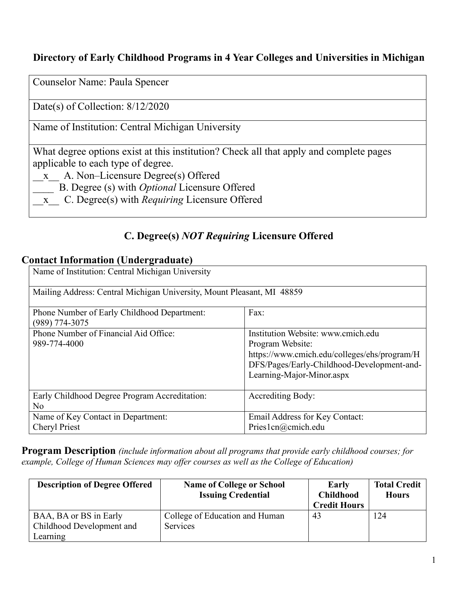### **Directory of Early Childhood Programs in 4 Year Colleges and Universities in Michigan**

Counselor Name: Paula Spencer

Date(s) of Collection: 8/12/2020

Name of Institution: Central Michigan University

What degree options exist at this institution? Check all that apply and complete pages applicable to each type of degree.

- \_\_x\_\_ A. Non–Licensure Degree(s) Offered
- \_\_\_\_ B. Degree (s) with *Optional* Licensure Offered
- \_\_x\_\_ C. Degree(s) with *Requiring* Licensure Offered

### **C. Degree(s)** *NOT Requiring* **Licensure Offered**

#### **Contact Information (Undergraduate)**

| Name of Institution: Central Michigan University                       |                                                                                                                                                                                   |  |
|------------------------------------------------------------------------|-----------------------------------------------------------------------------------------------------------------------------------------------------------------------------------|--|
| Mailing Address: Central Michigan University, Mount Pleasant, MI 48859 |                                                                                                                                                                                   |  |
| Phone Number of Early Childhood Department:<br>$(989)$ 774-3075        | Fax:                                                                                                                                                                              |  |
| Phone Number of Financial Aid Office:<br>989-774-4000                  | Institution Website: www.cmich.edu<br>Program Website:<br>https://www.cmich.edu/colleges/ehs/program/H<br>DFS/Pages/Early-Childhood-Development-and-<br>Learning-Major-Minor.aspx |  |
| Early Childhood Degree Program Accreditation:<br>No                    | Accrediting Body:                                                                                                                                                                 |  |
| Name of Key Contact in Department:<br><b>Cheryl Priest</b>             | Email Address for Key Contact:<br>Pries1cn@cmich.edu                                                                                                                              |  |

**Program Description** *(include information about all programs that provide early childhood courses; for example, College of Human Sciences may offer courses as well as the College of Education)*

| <b>Description of Degree Offered</b>                | <b>Name of College or School</b><br><b>Issuing Credential</b> | Early<br><b>Childhood</b><br><b>Credit Hours</b> | <b>Total Credit</b><br><b>Hours</b> |
|-----------------------------------------------------|---------------------------------------------------------------|--------------------------------------------------|-------------------------------------|
| BAA, BA or BS in Early<br>Childhood Development and | College of Education and Human<br><b>Services</b>             | 43                                               | 124                                 |
| Learning                                            |                                                               |                                                  |                                     |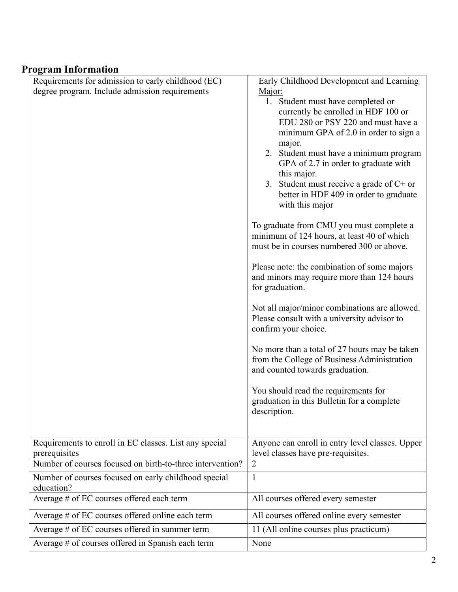## **Program Information**

| Requirements for admission to early childhood (EC)                 | Early Childhood Development and Learning         |
|--------------------------------------------------------------------|--------------------------------------------------|
| degree program. Include admission requirements                     | Major:                                           |
|                                                                    | 1. Student must have completed or                |
|                                                                    | currently be enrolled in HDF 100 or              |
|                                                                    | EDU 280 or PSY 220 and must have a               |
|                                                                    | minimum GPA of 2.0 in order to sign a            |
|                                                                    | major.<br>2. Student must have a minimum program |
|                                                                    | GPA of 2.7 in order to graduate with             |
|                                                                    | this major.                                      |
|                                                                    | 3. Student must receive a grade of $C+$ or       |
|                                                                    | better in HDF 409 in order to graduate           |
|                                                                    | with this major                                  |
|                                                                    | To graduate from CMU you must complete a         |
|                                                                    | minimum of 124 hours, at least 40 of which       |
|                                                                    | must be in courses numbered 300 or above.        |
|                                                                    | Please note: the combination of some majors      |
|                                                                    | and minors may require more than 124 hours       |
|                                                                    | for graduation.                                  |
|                                                                    | Not all major/minor combinations are allowed.    |
|                                                                    | Please consult with a university advisor to      |
|                                                                    | confirm your choice.                             |
|                                                                    | No more than a total of 27 hours may be taken    |
|                                                                    | from the College of Business Administration      |
|                                                                    | and counted towards graduation.                  |
|                                                                    | You should read the requirements for             |
|                                                                    | graduation in this Bulletin for a complete       |
|                                                                    | description.                                     |
|                                                                    |                                                  |
| Requirements to enroll in EC classes. List any special             | Anyone can enroll in entry level classes. Upper  |
| prerequisites                                                      | level classes have pre-requisites.               |
| Number of courses focused on birth-to-three intervention?          | $\overline{2}$                                   |
| Number of courses focused on early childhood special<br>education? | $\mathbf{1}$                                     |
| Average # of EC courses offered each term                          | All courses offered every semester               |
| Average # of EC courses offered online each term                   | All courses offered online every semester        |
| Average # of EC courses offered in summer term                     | 11 (All online courses plus practicum)           |
| Average # of courses offered in Spanish each term                  | None                                             |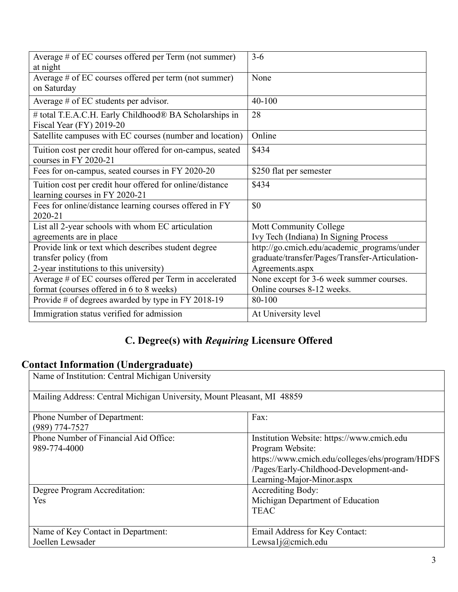| Average # of EC courses offered per Term (not summer)                                      | $3 - 6$                                        |
|--------------------------------------------------------------------------------------------|------------------------------------------------|
| at night                                                                                   |                                                |
| Average # of EC courses offered per term (not summer)                                      | None                                           |
| on Saturday                                                                                |                                                |
| Average $#$ of EC students per advisor.                                                    | 40-100                                         |
| # total T.E.A.C.H. Early Childhood® BA Scholarships in<br>Fiscal Year (FY) 2019-20         | 28                                             |
| Satellite campuses with EC courses (number and location)                                   | Online                                         |
| Tuition cost per credit hour offered for on-campus, seated<br>courses in FY 2020-21        | \$434                                          |
| Fees for on-campus, seated courses in FY 2020-20                                           | \$250 flat per semester                        |
| Tuition cost per credit hour offered for online/distance<br>learning courses in FY 2020-21 | \$434                                          |
| Fees for online/distance learning courses offered in FY<br>2020-21                         | \$0                                            |
| List all 2-year schools with whom EC articulation                                          | Mott Community College                         |
| agreements are in place                                                                    | Ivy Tech (Indiana) In Signing Process          |
| Provide link or text which describes student degree                                        | http://go.cmich.edu/academic programs/under    |
| transfer policy (from                                                                      | graduate/transfer/Pages/Transfer-Articulation- |
| 2-year institutions to this university)                                                    | Agreements.aspx                                |
| Average # of EC courses offered per Term in accelerated                                    | None except for 3-6 week summer courses.       |
| format (courses offered in 6 to 8 weeks)                                                   | Online courses 8-12 weeks.                     |
| Provide # of degrees awarded by type in FY 2018-19                                         | 80-100                                         |
| Immigration status verified for admission                                                  | At University level                            |

# **C. Degree(s) with** *Requiring* **Licensure Offered**

## **Contact Information (Undergraduate)**

| Name of Institution: Central Michigan University                       |                                                 |  |
|------------------------------------------------------------------------|-------------------------------------------------|--|
| Mailing Address: Central Michigan University, Mount Pleasant, MI 48859 |                                                 |  |
| Phone Number of Department:                                            | Fax:                                            |  |
| $(989)$ 774-7527                                                       |                                                 |  |
| Phone Number of Financial Aid Office:                                  | Institution Website: https://www.cmich.edu      |  |
| 989-774-4000                                                           | Program Website:                                |  |
|                                                                        | https://www.cmich.edu/colleges/ehs/program/HDFS |  |
|                                                                        | /Pages/Early-Childhood-Development-and-         |  |
|                                                                        | Learning-Major-Minor.aspx                       |  |
| Degree Program Accreditation:                                          | Accrediting Body:                               |  |
| Yes                                                                    | Michigan Department of Education                |  |
|                                                                        | <b>TEAC</b>                                     |  |
|                                                                        |                                                 |  |
| Name of Key Contact in Department:                                     | Email Address for Key Contact:                  |  |
| Joellen Lewsader                                                       | Lewsa1 $j$ (@cmich.edu                          |  |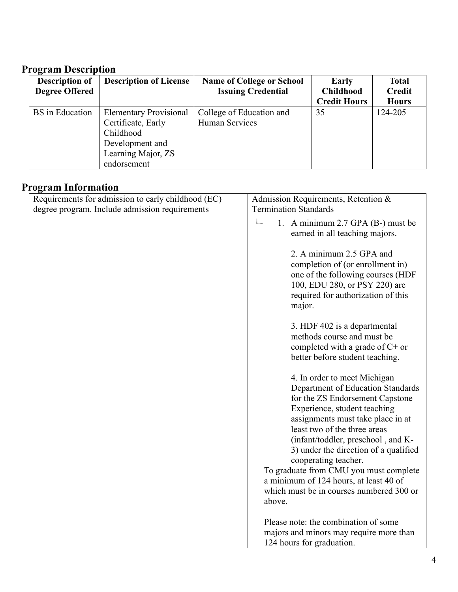### **Program Description**

| <b>Description of</b> | <b>Description of License</b> | <b>Name of College or School</b> | Early               | <b>Total</b>  |
|-----------------------|-------------------------------|----------------------------------|---------------------|---------------|
| <b>Degree Offered</b> |                               | <b>Issuing Credential</b>        | <b>Childhood</b>    | <b>Credit</b> |
|                       |                               |                                  | <b>Credit Hours</b> | <b>Hours</b>  |
| BS in Education       | <b>Elementary Provisional</b> | College of Education and         | 35                  | 124-205       |
|                       | Certificate, Early            | Human Services                   |                     |               |
|                       | Childhood                     |                                  |                     |               |
|                       | Development and               |                                  |                     |               |
|                       | Learning Major, ZS            |                                  |                     |               |
|                       | endorsement                   |                                  |                     |               |

### **Program Information**

| $\mathsf{F}$ and through the set of $\mathsf{F}$                                                     |                                                                                                                                                                                                                                                                                                                                                                                                                                                            |  |
|------------------------------------------------------------------------------------------------------|------------------------------------------------------------------------------------------------------------------------------------------------------------------------------------------------------------------------------------------------------------------------------------------------------------------------------------------------------------------------------------------------------------------------------------------------------------|--|
| Requirements for admission to early childhood (EC)<br>degree program. Include admission requirements | Admission Requirements, Retention &<br><b>Termination Standards</b>                                                                                                                                                                                                                                                                                                                                                                                        |  |
|                                                                                                      | i<br>1. A minimum 2.7 GPA (B-) must be<br>earned in all teaching majors.                                                                                                                                                                                                                                                                                                                                                                                   |  |
|                                                                                                      | 2. A minimum 2.5 GPA and<br>completion of (or enrollment in)<br>one of the following courses (HDF<br>100, EDU 280, or PSY 220) are<br>required for authorization of this<br>major.                                                                                                                                                                                                                                                                         |  |
|                                                                                                      | 3. HDF 402 is a departmental<br>methods course and must be<br>completed with a grade of $C+$ or<br>better before student teaching.                                                                                                                                                                                                                                                                                                                         |  |
|                                                                                                      | 4. In order to meet Michigan<br>Department of Education Standards<br>for the ZS Endorsement Capstone<br>Experience, student teaching<br>assignments must take place in at<br>least two of the three areas<br>(infant/toddler, preschool, and K-<br>3) under the direction of a qualified<br>cooperating teacher.<br>To graduate from CMU you must complete<br>a minimum of 124 hours, at least 40 of<br>which must be in courses numbered 300 or<br>above. |  |
|                                                                                                      | Please note: the combination of some<br>majors and minors may require more than<br>124 hours for graduation.                                                                                                                                                                                                                                                                                                                                               |  |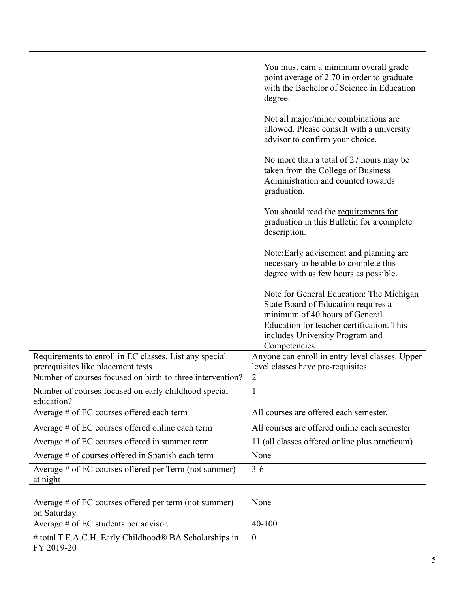|                                                                                                 | You must earn a minimum overall grade<br>point average of 2.70 in order to graduate<br>with the Bachelor of Science in Education<br>degree.                                                                        |
|-------------------------------------------------------------------------------------------------|--------------------------------------------------------------------------------------------------------------------------------------------------------------------------------------------------------------------|
|                                                                                                 | Not all major/minor combinations are<br>allowed. Please consult with a university<br>advisor to confirm your choice.                                                                                               |
|                                                                                                 | No more than a total of 27 hours may be<br>taken from the College of Business<br>Administration and counted towards<br>graduation.                                                                                 |
|                                                                                                 | You should read the requirements for<br>graduation in this Bulletin for a complete<br>description.                                                                                                                 |
|                                                                                                 | Note: Early advisement and planning are<br>necessary to be able to complete this<br>degree with as few hours as possible.                                                                                          |
|                                                                                                 | Note for General Education: The Michigan<br>State Board of Education requires a<br>minimum of 40 hours of General<br>Education for teacher certification. This<br>includes University Program and<br>Competencies. |
| Requirements to enroll in EC classes. List any special                                          | Anyone can enroll in entry level classes. Upper                                                                                                                                                                    |
| prerequisites like placement tests<br>Number of courses focused on birth-to-three intervention? | level classes have pre-requisites.<br>$\overline{2}$                                                                                                                                                               |
| Number of courses focused on early childhood special<br>education?                              | 1                                                                                                                                                                                                                  |
| Average # of EC courses offered each term                                                       | All courses are offered each semester.                                                                                                                                                                             |
| Average # of EC courses offered online each term                                                | All courses are offered online each semester                                                                                                                                                                       |
| Average # of EC courses offered in summer term                                                  | 11 (all classes offered online plus practicum)                                                                                                                                                                     |
| Average # of courses offered in Spanish each term                                               | None                                                                                                                                                                                                               |
| Average # of EC courses offered per Term (not summer)<br>at night                               | $3-6$                                                                                                                                                                                                              |

| Average $\#$ of EC courses offered per term (not summer)<br>on Saturday | None     |
|-------------------------------------------------------------------------|----------|
| Average $#$ of EC students per advisor.                                 | $40-100$ |
| # total T.E.A.C.H. Early Childhood® BA Scholarships in<br>FY 2019-20    |          |